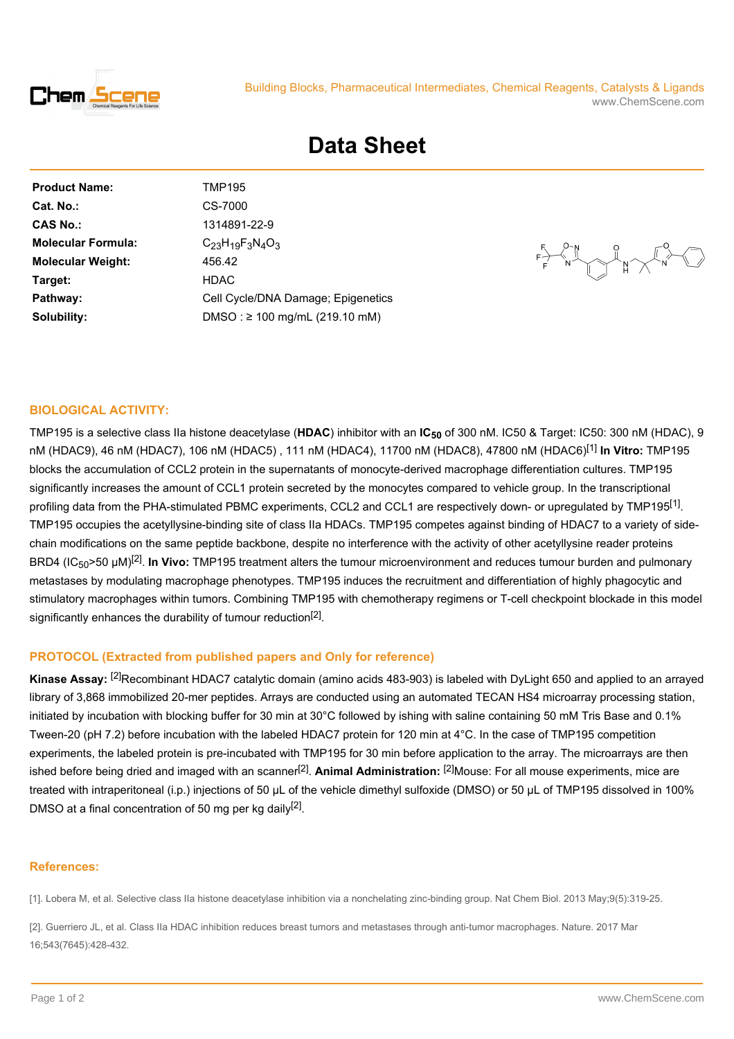

## Building Blocks, Pharmaceutical Intermediates, Chemical Reagents, Catalysts & Ligands www.ChemScene.com

# **Data Sheet**

| Cat. No.:<br>CS-7000<br><b>CAS No.:</b><br>1314891-22-9<br><b>Molecular Formula:</b><br>$C_{23}H_{19}F_3N_4O_3$<br><b>Molecular Weight:</b><br>456.42<br><b>HDAC</b><br>Target:<br>Pathway:<br>DMSO: $\geq$ 100 mg/mL (219.10 mM)<br>Solubility: | <b>Product Name:</b> | TMP195                             |
|--------------------------------------------------------------------------------------------------------------------------------------------------------------------------------------------------------------------------------------------------|----------------------|------------------------------------|
|                                                                                                                                                                                                                                                  |                      |                                    |
|                                                                                                                                                                                                                                                  |                      |                                    |
|                                                                                                                                                                                                                                                  |                      |                                    |
|                                                                                                                                                                                                                                                  |                      |                                    |
|                                                                                                                                                                                                                                                  |                      |                                    |
|                                                                                                                                                                                                                                                  |                      | Cell Cycle/DNA Damage; Epigenetics |
|                                                                                                                                                                                                                                                  |                      |                                    |

 $\bigcap_{\mathbb{R}}\mathbb{R}^{\infty}$ 

### **BIOLOGICAL ACTIVITY:**

TMP195 is a selective class IIa histone deacetylase (**HDAC**) inhibitor with an **IC50** of 300 nM. IC50 & Target: IC50: 300 nM (HDAC), 9 nM (HDAC9), 46 nM (HDAC7), 106 nM (HDAC5) , 111 nM (HDAC4), 11700 nM (HDAC8), 47800 nM (HDAC6)[1] **In Vitro:** TMP195 blocks the accumulation of CCL2 protein in the supernatants of monocyte-derived macrophage differentiation cultures. TMP195 significantly increases the amount of CCL1 protein secreted by the monocytes compared to vehicle group. In the transcriptional profiling data from the PHA-stimulated PBMC experiments, CCL2 and CCL1 are respectively down- or upregulated by TMP195<sup>[1]</sup>. TMP195 occupies the acetyllysine-binding site of class IIa HDACs. TMP195 competes against binding of HDAC7 to a variety of sidechain modifications on the same peptide backbone, despite no interference with the activity of other acetyllysine reader proteins BRD4 (IC<sub>50</sub>>50 μM)<sup>[2]</sup>. **In Vivo:** TMP195 treatment alters the tumour microenvironment and reduces tumour burden and pulmonary metastases by modulating macrophage phenotypes. TMP195 induces the recruitment and differentiation of highly phagocytic and stimulatory macrophages within tumors. Combining TMP195 with chemotherapy regimens or T-cell checkpoint blockade in this model significantly enhances the durability of tumour reduction<sup>[2]</sup>.

## **PROTOCOL (Extracted from published papers and Only for reference)**

**Kinase Assay:** [2]Recombinant HDAC7 catalytic domain (amino acids 483-903) is labeled with DyLight 650 and applied to an arrayed library of 3,868 immobilized 20-mer peptides. Arrays are conducted using an automated TECAN HS4 microarray processing station, initiated by incubation with blocking buffer for 30 min at 30°C followed by ishing with saline containing 50 mM Tris Base and 0.1% Tween-20 (pH 7.2) before incubation with the labeled HDAC7 protein for 120 min at 4°C. In the case of TMP195 competition experiments, the labeled protein is pre-incubated with TMP195 for 30 min before application to the array. The microarrays are then ished before being dried and imaged with an scanner<sup>[2]</sup>. Animal Administration: <sup>[2]</sup>Mouse: For all mouse experiments, mice are treated with intraperitoneal (i.p.) injections of 50 μL of the vehicle dimethyl sulfoxide (DMSO) or 50 μL of TMP195 dissolved in 100% DMSO at a final concentration of 50 mg per kg daily<sup>[2]</sup>.

#### **References:**

[1]. Lobera M, et al. Selective class IIa histone deacetylase inhibition via a nonchelating zinc-binding group. Nat Chem Biol. 2013 May;9(5):319-25.

[2]. Guerriero JL, et al. Class IIa HDAC inhibition reduces breast tumors and metastases through anti-tumor macrophages. Nature. 2017 Mar 16;543(7645):428-432.